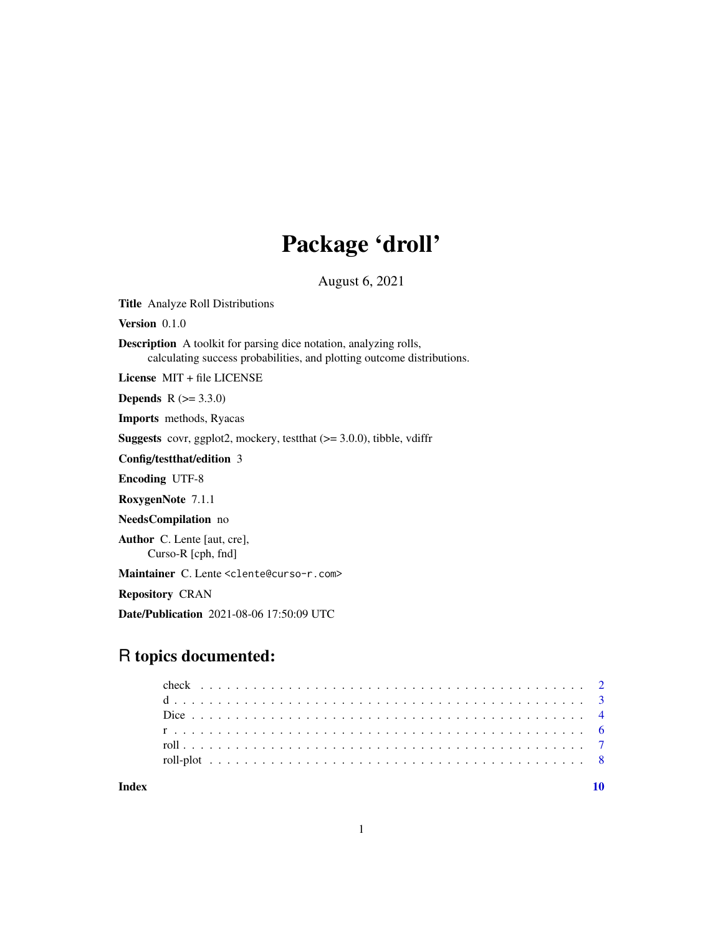# Package 'droll'

August 6, 2021

<span id="page-0-0"></span>Title Analyze Roll Distributions

Version 0.1.0

Description A toolkit for parsing dice notation, analyzing rolls, calculating success probabilities, and plotting outcome distributions.

License MIT + file LICENSE

**Depends** R  $(>= 3.3.0)$ 

Imports methods, Ryacas

**Suggests** covr, ggplot2, mockery, test that  $(>= 3.0.0)$ , tibble, vdiffr

Config/testthat/edition 3

Encoding UTF-8

RoxygenNote 7.1.1

NeedsCompilation no

Author C. Lente [aut, cre], Curso-R [cph, fnd]

Maintainer C. Lente <clente@curso-r.com>

Repository CRAN

Date/Publication 2021-08-06 17:50:09 UTC

## R topics documented:

| Indev |  |  |  |  |  |  |  |  |  |  |  |  |  |  |  |  |  |  |  |  |  |  |  |
|-------|--|--|--|--|--|--|--|--|--|--|--|--|--|--|--|--|--|--|--|--|--|--|--|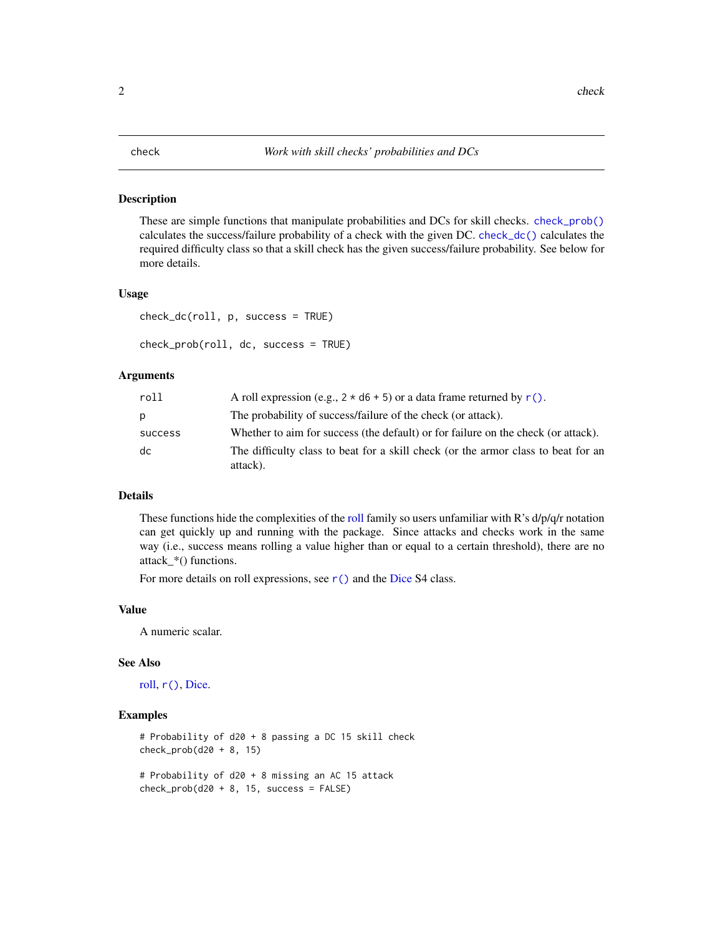#### <span id="page-1-1"></span><span id="page-1-0"></span>Description

These are simple functions that manipulate probabilities and DCs for skill checks. [check\\_prob\(\)](#page-1-1) calculates the success/failure probability of a check with the given DC. [check\\_dc\(\)](#page-1-1) calculates the required difficulty class so that a skill check has the given success/failure probability. See below for more details.

#### Usage

```
check_dc(roll, p, success = TRUE)
```

```
check_prob(roll, dc, success = TRUE)
```
#### Arguments

| roll    | A roll expression (e.g., $2 \times d6 + 5$ ) or a data frame returned by r().                 |
|---------|-----------------------------------------------------------------------------------------------|
| D       | The probability of success/failure of the check (or attack).                                  |
| success | Whether to aim for success (the default) or for failure on the check (or attack).             |
| dc      | The difficulty class to beat for a skill check (or the armor class to beat for an<br>attack). |

#### Details

These functions hide the complexities of the [roll](#page-6-1) family so users unfamiliar with R's  $d/p/q/r$  notation can get quickly up and running with the package. Since attacks and checks work in the same way (i.e., success means rolling a value higher than or equal to a certain threshold), there are no attack\_\*() functions.

For more details on roll expressions, see [r\(\)](#page-5-1) and the [Dice](#page-3-1) S4 class.

#### Value

A numeric scalar.

#### See Also

[roll,](#page-6-1) [r\(\)](#page-5-1), [Dice.](#page-3-1)

```
# Probability of d20 + 8 passing a DC 15 skill check
check_prob(d20 + 8, 15)
# Probability of d20 + 8 missing an AC 15 attack
check\_prob(d20 + 8, 15, success = FALSE)
```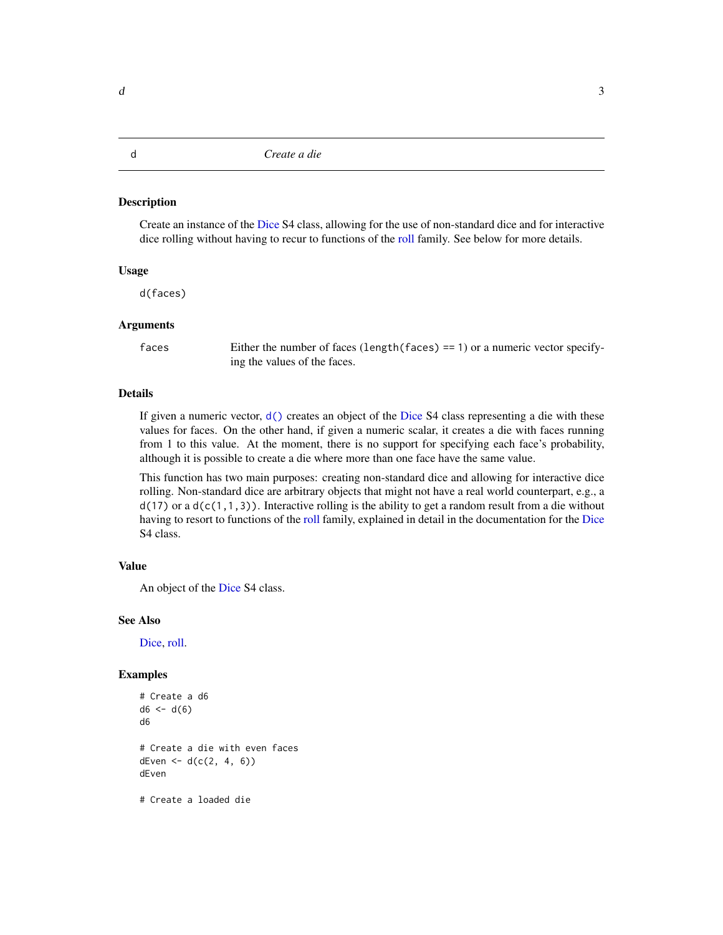#### <span id="page-2-1"></span><span id="page-2-0"></span>Description

Create an instance of the [Dice](#page-3-1) S4 class, allowing for the use of non-standard dice and for interactive dice rolling without having to recur to functions of the [roll](#page-6-1) family. See below for more details.

#### Usage

d(faces)

#### Arguments

faces Either the number of faces (length(faces) == 1) or a numeric vector specifying the values of the faces.

#### Details

If given a numeric vector,  $d()$  creates an object of the [Dice](#page-3-1) S4 class representing a die with these values for faces. On the other hand, if given a numeric scalar, it creates a die with faces running from 1 to this value. At the moment, there is no support for specifying each face's probability, although it is possible to create a die where more than one face have the same value.

This function has two main purposes: creating non-standard dice and allowing for interactive dice rolling. Non-standard dice are arbitrary objects that might not have a real world counterpart, e.g., a  $d(17)$  or a  $d(c(1,1,3))$ . Interactive rolling is the ability to get a random result from a die without having to resort to functions of the [roll](#page-6-1) family, explained in detail in the documentation for the [Dice](#page-3-1) S4 class.

#### Value

An object of the [Dice](#page-3-1) S4 class.

#### See Also

[Dice,](#page-3-1) [roll.](#page-6-1)

```
# Create a d6
d6 < -d(6)d6
# Create a die with even faces
dEven \le - d(c(2, 4, 6))dEven
# Create a loaded die
```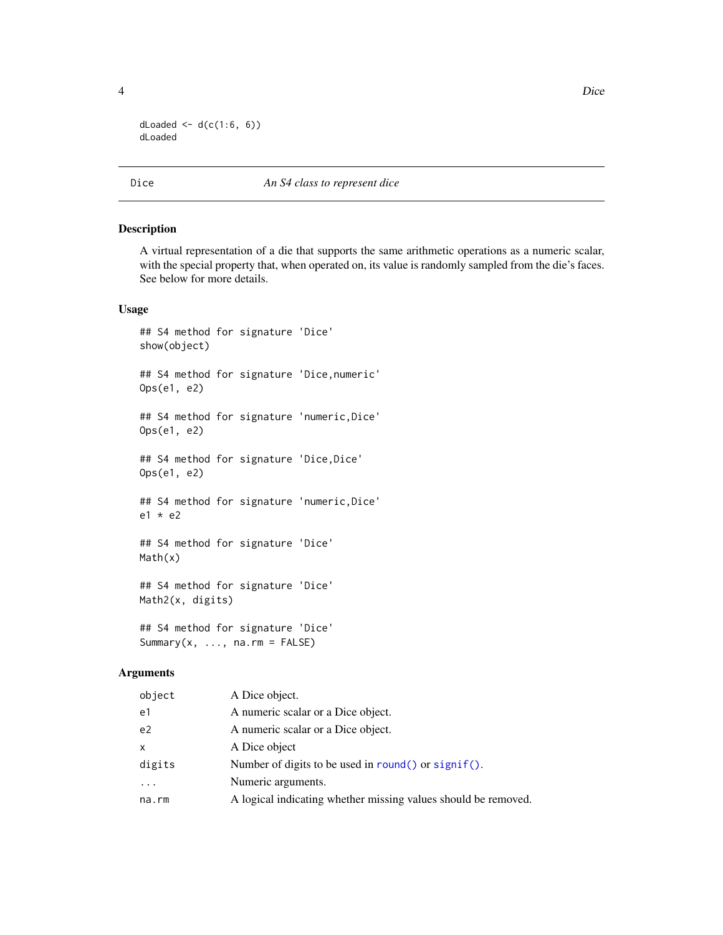4 Dice

```
dLoaded \leq -d(c(1:6, 6))dLoaded
```
#### <span id="page-3-1"></span>Dice *An S4 class to represent dice*

#### Description

A virtual representation of a die that supports the same arithmetic operations as a numeric scalar, with the special property that, when operated on, its value is randomly sampled from the die's faces. See below for more details.

#### Usage

```
## S4 method for signature 'Dice'
show(object)
## S4 method for signature 'Dice,numeric'
Ops(e1, e2)
## S4 method for signature 'numeric,Dice'
Ops(e1, e2)
## S4 method for signature 'Dice, Dice'
Ops(e1, e2)
## S4 method for signature 'numeric,Dice'
e1 * e2
## S4 method for signature 'Dice'
Math(x)
## S4 method for signature 'Dice'
Math2(x, digits)
## S4 method for signature 'Dice'
```
Summary $(x, \ldots,$  na.rm = FALSE)

#### Arguments

| object         | A Dice object.                                                 |
|----------------|----------------------------------------------------------------|
| e1             | A numeric scalar or a Dice object.                             |
| e <sub>2</sub> | A numeric scalar or a Dice object.                             |
| $\mathsf{x}$   | A Dice object                                                  |
| digits         | Number of digits to be used in round() or $signif()$ .         |
|                | Numeric arguments.                                             |
| na.rm          | A logical indicating whether missing values should be removed. |
|                |                                                                |

<span id="page-3-0"></span>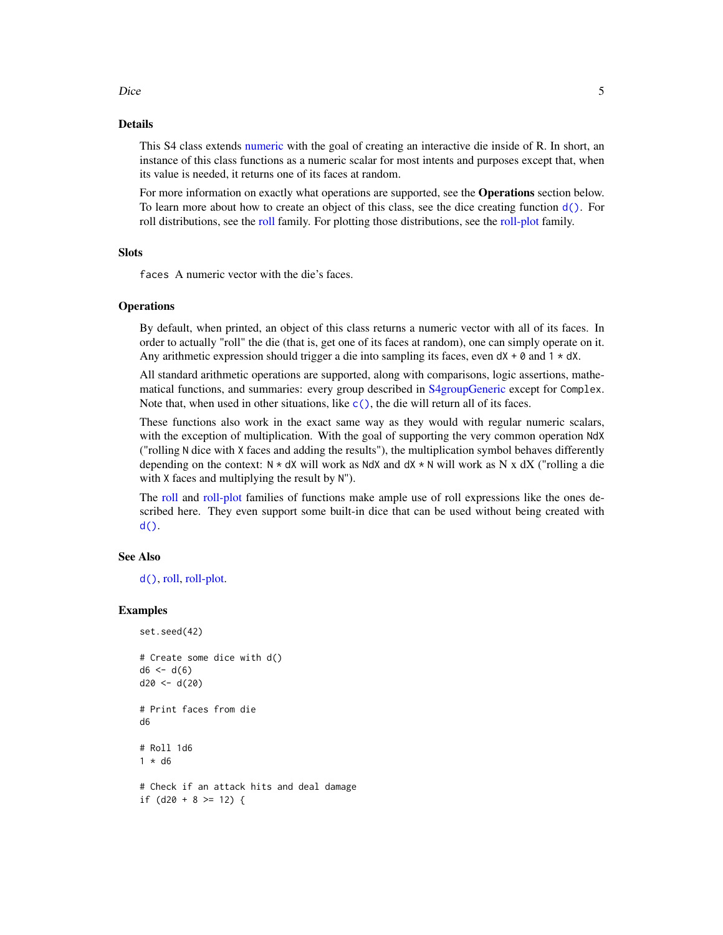## <span id="page-4-0"></span>Dice 5

#### Details

This S4 class extends [numeric](#page-0-0) with the goal of creating an interactive die inside of R. In short, an instance of this class functions as a numeric scalar for most intents and purposes except that, when its value is needed, it returns one of its faces at random.

For more information on exactly what operations are supported, see the **Operations** section below. To learn more about how to create an object of this class, see the dice creating function  $d()$ . For roll distributions, see the [roll](#page-6-1) family. For plotting those distributions, see the [roll-plot](#page-7-1) family.

#### **Slots**

faces A numeric vector with the die's faces.

#### **Operations**

By default, when printed, an object of this class returns a numeric vector with all of its faces. In order to actually "roll" the die (that is, get one of its faces at random), one can simply operate on it. Any arithmetic expression should trigger a die into sampling its faces, even  $dX + \theta$  and  $1 * dX$ .

All standard arithmetic operations are supported, along with comparisons, logic assertions, mathematical functions, and summaries: every group described in [S4groupGeneric](#page-0-0) except for Complex. Note that, when used in other situations, like  $c()$ , the die will return all of its faces.

These functions also work in the exact same way as they would with regular numeric scalars, with the exception of multiplication. With the goal of supporting the very common operation NdX ("rolling N dice with X faces and adding the results"), the multiplication symbol behaves differently depending on the context:  $N \times dX$  will work as NdX and  $dX \times N$  will work as N x dX ("rolling a die with X faces and multiplying the result by N").

The [roll](#page-6-1) and [roll-plot](#page-7-1) families of functions make ample use of roll expressions like the ones described here. They even support some built-in dice that can be used without being created with [d\(\)](#page-2-1).

#### See Also

[d\(\)](#page-2-1), [roll,](#page-6-1) [roll-plot.](#page-7-1)

```
set.seed(42)
```

```
# Create some dice with d()
d6 < -d(6)d20 < -d(20)# Print faces from die
d6
# Roll 1d6
1 * d6# Check if an attack hits and deal damage
if (d20 + 8 \ge 12) {
```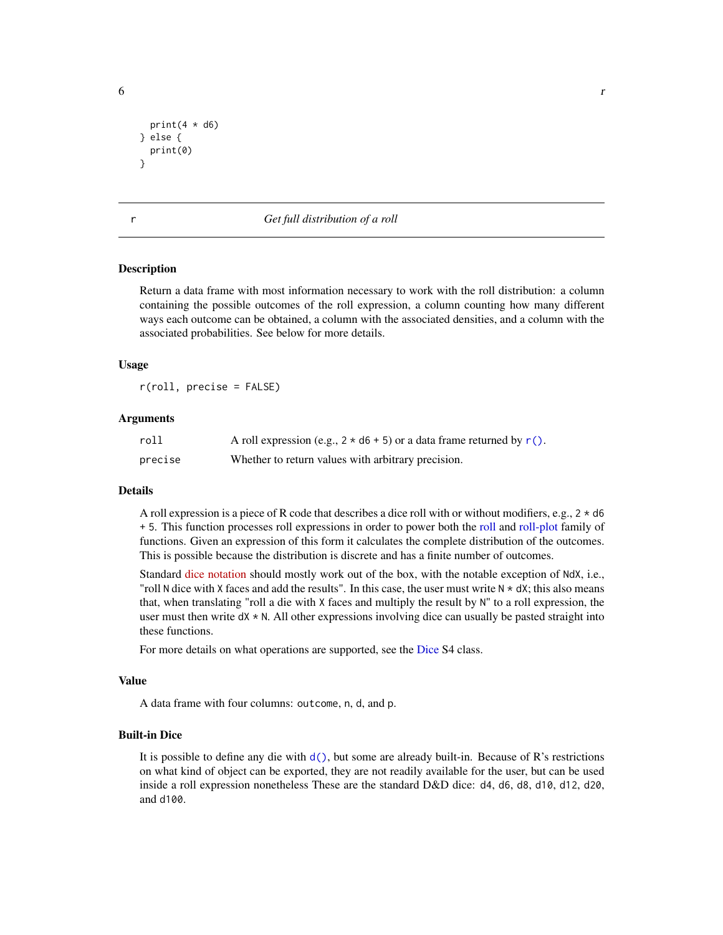```
print(4 * d6)} else {
 print(0)
}
```
#### <span id="page-5-1"></span>r *Get full distribution of a roll*

#### **Description**

Return a data frame with most information necessary to work with the roll distribution: a column containing the possible outcomes of the roll expression, a column counting how many different ways each outcome can be obtained, a column with the associated densities, and a column with the associated probabilities. See below for more details.

#### Usage

r(roll, precise = FALSE)

#### Arguments

| roll    | A roll expression (e.g., $2 \times d6 + 5$ ) or a data frame returned by r(). |
|---------|-------------------------------------------------------------------------------|
| precise | Whether to return values with arbitrary precision.                            |

#### Details

A roll expression is a piece of R code that describes a dice roll with or without modifiers, e.g.,  $2 \times d6$ + 5. This function processes roll expressions in order to power both the [roll](#page-6-1) and [roll-plot](#page-7-1) family of functions. Given an expression of this form it calculates the complete distribution of the outcomes. This is possible because the distribution is discrete and has a finite number of outcomes.

Standard [dice notation](https://en.wikipedia.org/wiki/Dice_notation) should mostly work out of the box, with the notable exception of NdX, i.e., "roll N dice with X faces and add the results". In this case, the user must write  $N \star dX$ ; this also means that, when translating "roll a die with X faces and multiply the result by N" to a roll expression, the user must then write  $dX \star N$ . All other expressions involving dice can usually be pasted straight into these functions.

For more details on what operations are supported, see the [Dice](#page-3-1) S4 class.

#### Value

A data frame with four columns: outcome, n, d, and p.

#### Built-in Dice

It is possible to define any die with  $d()$ , but some are already built-in. Because of R's restrictions on what kind of object can be exported, they are not readily available for the user, but can be used inside a roll expression nonetheless These are the standard D&D dice: d4, d6, d8, d10, d12, d20, and d100.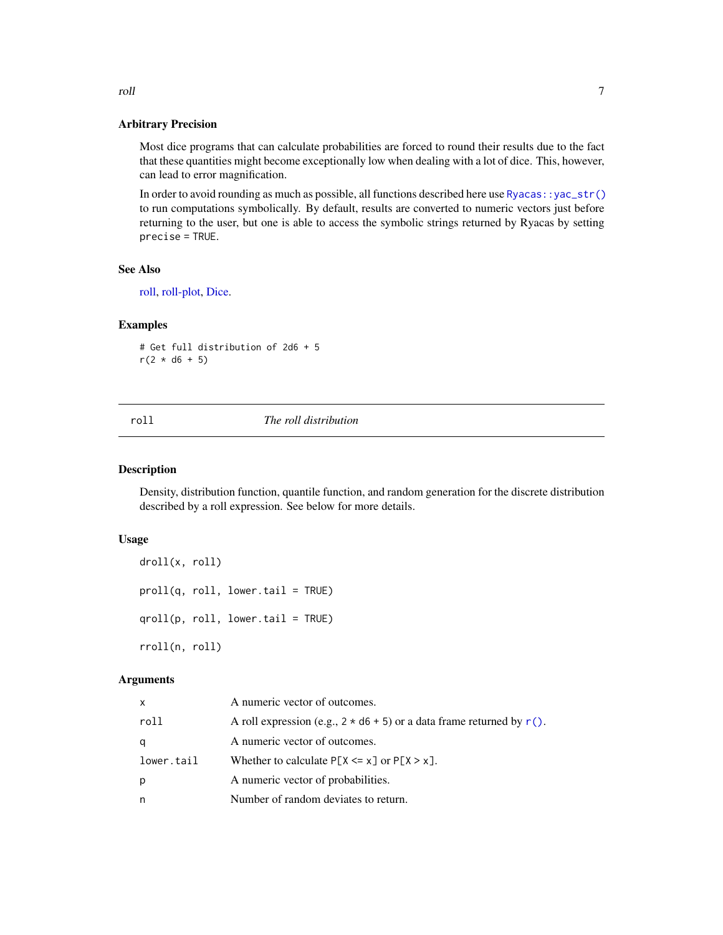#### Arbitrary Precision

Most dice programs that can calculate probabilities are forced to round their results due to the fact that these quantities might become exceptionally low when dealing with a lot of dice. This, however, can lead to error magnification.

In order to avoid rounding as much as possible, all functions described here use [Ryacas::yac\\_str\(\)](#page-0-0) to run computations symbolically. By default, results are converted to numeric vectors just before returning to the user, but one is able to access the symbolic strings returned by Ryacas by setting precise = TRUE.

#### See Also

[roll,](#page-6-1) [roll-plot,](#page-7-1) [Dice.](#page-3-1)

#### Examples

# Get full distribution of 2d6 + 5  $r(2 * d6 + 5)$ 

#### <span id="page-6-1"></span>roll *The roll distribution*

#### <span id="page-6-2"></span>Description

Density, distribution function, quantile function, and random generation for the discrete distribution described by a roll expression. See below for more details.

#### Usage

```
droll(x, roll)
proll(q, roll, lower.tail = TRUE)
qroll(p, roll, lower.tail = TRUE)
rroll(n, roll)
```
#### Arguments

| x          | A numeric vector of outcomes.                                            |
|------------|--------------------------------------------------------------------------|
| roll       | A roll expression (e.g., $2 * d6 + 5$ ) or a data frame returned by r(). |
| q          | A numeric vector of outcomes.                                            |
| lower.tail | Whether to calculate $P[X \le x]$ or $P[X \ge x]$ .                      |
| р          | A numeric vector of probabilities.                                       |
| n          | Number of random deviates to return.                                     |

<span id="page-6-0"></span>roll and the control of the control of the control of the control of the control of the control of the control of the control of the control of the control of the control of the control of the control of the control of the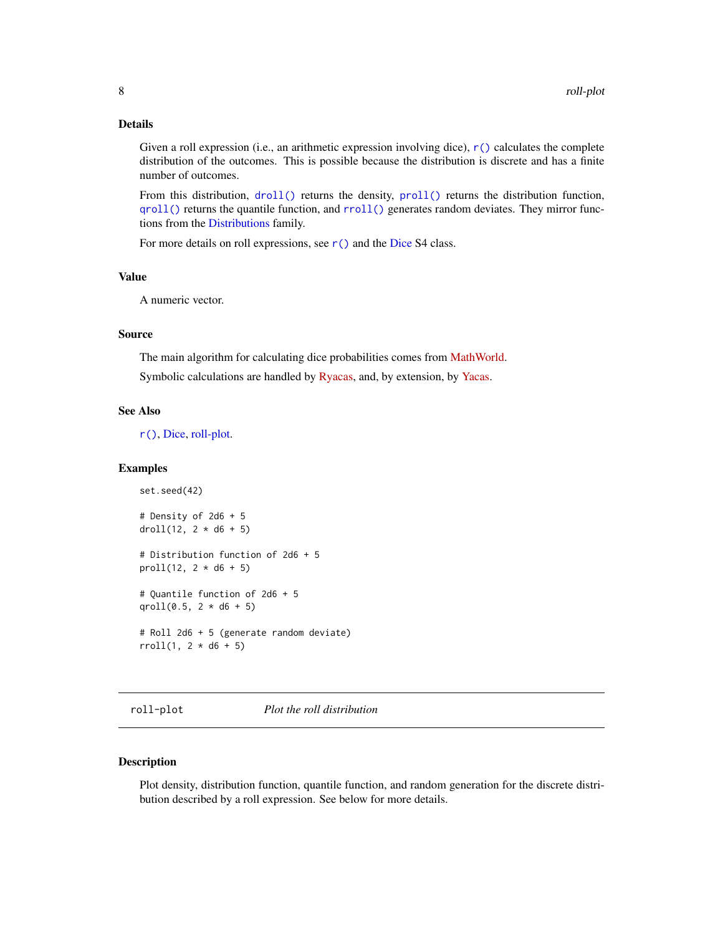### <span id="page-7-0"></span>Details

Given a roll expression (i.e., an arithmetic expression involving dice),  $r()$  calculates the complete distribution of the outcomes. This is possible because the distribution is discrete and has a finite number of outcomes.

From this distribution, [droll\(\)](#page-6-2) returns the density, [proll\(\)](#page-6-2) returns the distribution function, [qroll\(\)](#page-6-2) returns the quantile function, and [rroll\(\)](#page-6-2) generates random deviates. They mirror functions from the [Distributions](#page-0-0) family.

For more details on roll expressions, see  $r()$  and the [Dice](#page-3-1) S4 class.

### Value

A numeric vector.

#### Source

The main algorithm for calculating dice probabilities comes from [MathWorld.](https://mathworld.wolfram.com/Dice.html)

Symbolic calculations are handled by [Ryacas,](https://cran.r-project.org/package=Ryacas) and, by extension, by [Yacas.](https://www.yacas.org/)

#### See Also

[r\(\)](#page-5-1), [Dice,](#page-3-1) [roll-plot.](#page-7-1)

#### Examples

```
set.seed(42)
# Density of 2d6 + 5
droll(12, 2 * d6 + 5)# Distribution function of 2d6 + 5
proll(12, 2 * d6 + 5)
# Quantile function of 2d6 + 5
qroll(0.5, 2 * d6 + 5)# Roll 2d6 + 5 (generate random deviate)
rroll(1, 2 * d6 + 5)
```
<span id="page-7-1"></span>roll-plot *Plot the roll distribution*

#### <span id="page-7-2"></span>Description

Plot density, distribution function, quantile function, and random generation for the discrete distribution described by a roll expression. See below for more details.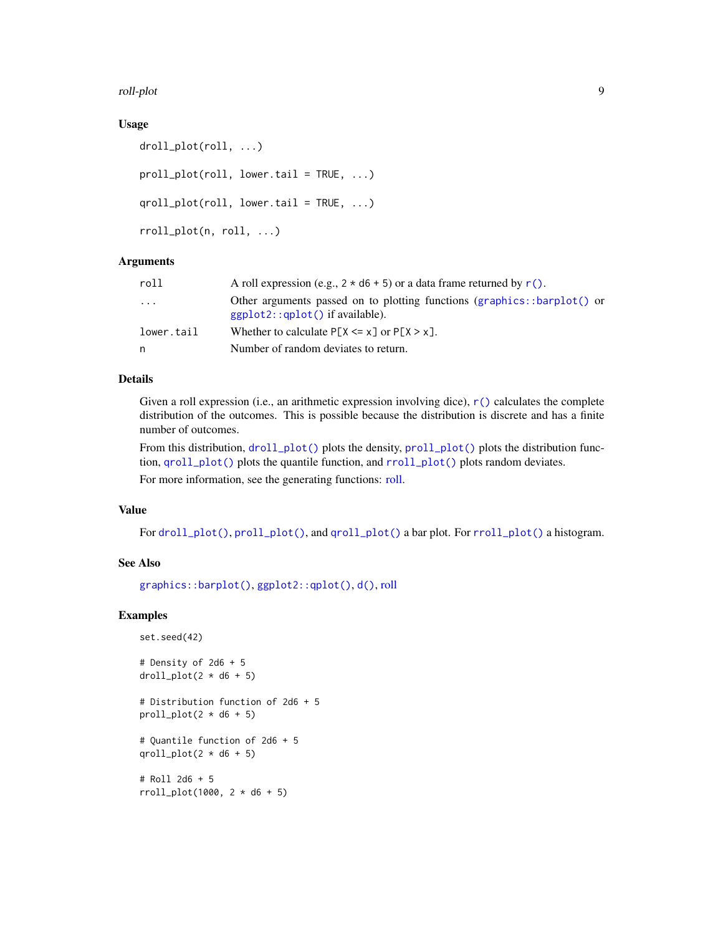<span id="page-8-0"></span>roll-plot 9

#### Usage

```
droll_plot(roll, ...)
proll_plot(roll, lower.tail = TRUE, ...)
qroll_plot(roll, lower.tail = TRUE, ...)
rroll_plot(n, roll, ...)
```
#### **Arguments**

| roll       | A roll expression (e.g., $2 * d6 + 5$ ) or a data frame returned by r().                                        |
|------------|-----------------------------------------------------------------------------------------------------------------|
| .          | Other arguments passed on to plotting functions (graphics::barplot() or<br>$ggplot2$ : $qplot()$ if available). |
| lower.tail | Whether to calculate $P[X \le x]$ or $P[X \ge x]$ .                                                             |
| n          | Number of random deviates to return.                                                                            |

#### Details

Given a roll expression (i.e., an arithmetic expression involving dice),  $r()$  calculates the complete distribution of the outcomes. This is possible because the distribution is discrete and has a finite number of outcomes.

From this distribution,  $droll.plot()$  plots the density,  $prod.plot()$  plot() plots the distribution function, [qroll\\_plot\(\)](#page-7-2) plots the quantile function, and [rroll\\_plot\(\)](#page-7-2) plots random deviates. For more information, see the generating functions: [roll.](#page-6-1)

#### Value

For [droll\\_plot\(\)](#page-7-2), [proll\\_plot\(\)](#page-7-2), and [qroll\\_plot\(\)](#page-7-2) a bar plot. For [rroll\\_plot\(\)](#page-7-2) a histogram.

#### See Also

[graphics::barplot\(\)](#page-0-0), [ggplot2::qplot\(\)](#page-0-0), [d\(\)](#page-2-1), [roll](#page-6-1)

```
set.seed(42)
# Density of 2d6 + 5
droll.plot(2 * d6 + 5)# Distribution function of 2d6 + 5
proll\_plot(2 * d6 + 5)# Quantile function of 2d6 + 5
qroll_plot(2 * d6 + 5)
# Roll 2d6 + 5
rroll_plot(1000, 2 * d6 + 5)
```